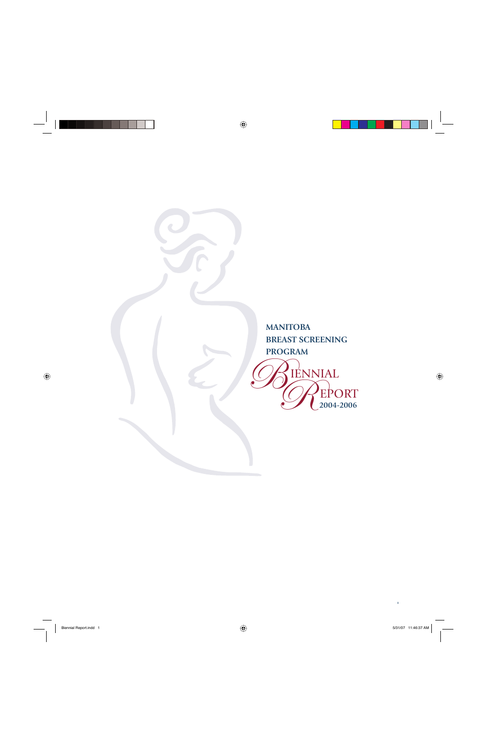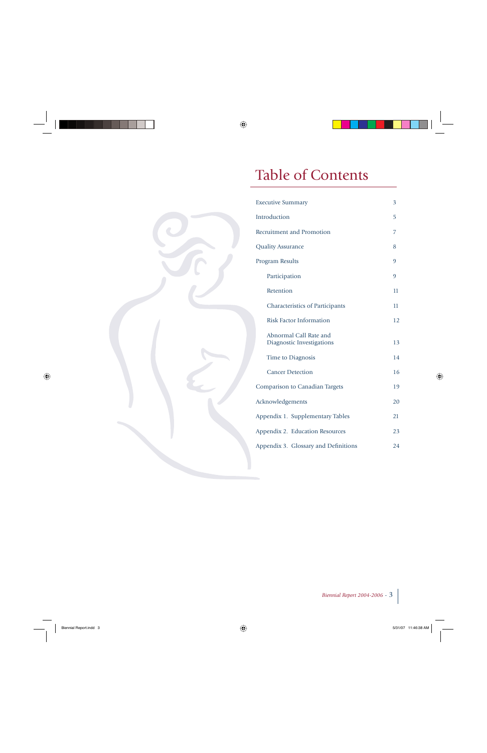# Table of Contents

| <b>Executive Summary</b>                            | 3  |
|-----------------------------------------------------|----|
| Introduction                                        | 5  |
| Recruitment and Promotion                           | 7  |
| <b>Quality Assurance</b>                            | 8  |
| <b>Program Results</b>                              | 9  |
| Participation                                       | 9  |
| Retention                                           | 11 |
| <b>Characteristics of Participants</b>              | 11 |
| <b>Risk Factor Information</b>                      | 12 |
| Abnormal Call Rate and<br>Diagnostic Investigations | 13 |
| Time to Diagnosis                                   | 14 |
| <b>Cancer Detection</b>                             | 16 |
| <b>Comparison to Canadian Targets</b>               | 19 |
| Acknowledgements                                    | 20 |
| Appendix 1. Supplementary Tables                    | 21 |
| Appendix 2. Education Resources                     | 23 |
| Appendix 3. Glossary and Definitions                | 24 |

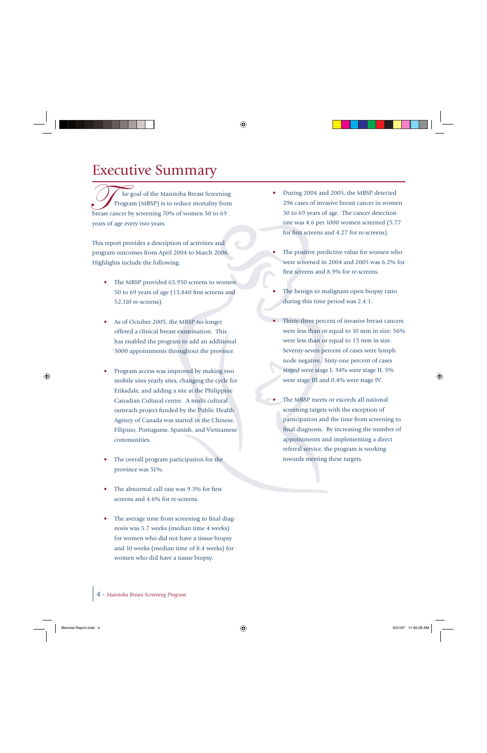## Executive Summary

 he goal of the Manitoba Breast Screening The goal of the Manitoba Breast Screening<br>Program (MBSP) is to reduce mortality from breast cancer by screening 70% of women 50 to 69 years of age every two years.

This report provides a description of activities and program outcomes from April 2004 to March 2006. Highlights include the following:

- The MBSP provided 65,950 screens to women 50 to 69 years of age  $(13,840$  first screens and 52,110 re-screens).
- As of October 2005, the MBSP no longer offered a clinical breast examination. This has enabled the program to add an additional 5000 appointments throughout the province.
- Program access was improved by making two mobile sites yearly sites, changing the cycle for Eriksdale, and adding a site at the Philippine Canadian Cultural centre. A multi cultural outreach project funded by the Public Health Agency of Canada was started in the Chinese, Filipino, Portuguese, Spanish, and Vietnamese communities.
- The overall program participation for the province was 51%.
- The abnormal call rate was 9.3% for first screens and 4.6% for re-screens.
- The average time from screening to final diagnosis was 5.7 weeks (median time 4 weeks) for women who did not have a tissue biopsy and 10 weeks (median time of 8.4 weeks) for women who did have a tissue biopsy.
- During 2004 and 2005, the MBSP detected 296 cases of invasive breast cancer in women 50 to 69 years of age. The cancer detection rate was 4.6 per 1000 women screened (5.77 for first screens and 4.27 for re-screens).
- The positive predictive value for women who were screened in 2004 and 2005 was 6.2% for first screens and 8.9% for re-screens.
- The benign to malignant open biopsy ratio during this time period was 2.4:1.
- Thirty-three percent of invasive breast cancers were less than or equal to 10 mm in size; 56% were less than or equal to 15 mm in size. Seventy-seven percent of cases were lymph node negative. Sixty-one percent of cases staged were stage I, 34% were stage II, 5% were stage III and 0.4% were stage IV.
- The MBSP meets or exceeds all national screening targets with the exception of participation and the time from screening to final diagnosis. By increasing the number of appointments and implementing a direct referral service, the program is working towards meeting these targets.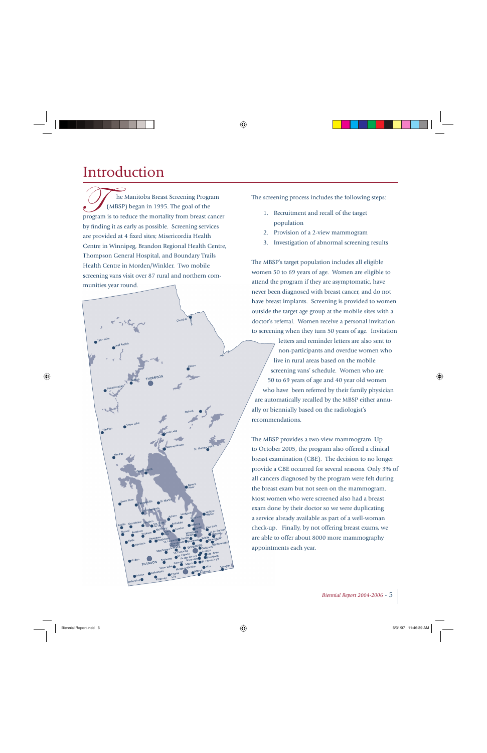## Introduction

 he Manitoba Breast Screening Program The Manitoba Breast Screening Program<br>
(MBSP) began in 1995. The goal of the program is to reduce the mortality from breast cancer by finding it as early as possible. Screening services are provided at 4 fixed sites; Misericordia Health Centre in Winnipeg, Brandon Regional Health Centre, Thompson General Hospital, and Boundary Trails Health Centre in Morden/Winkler. Two mobile screening vans visit over 87 rural and northern communities year round.



The screening process includes the following steps:

- 1. Recruitment and recall of the target population
- 2. Provision of a 2-view mammogram
- 3. Investigation of abnormal screening results

The MBSP's target population includes all eligible women 50 to 69 years of age. Women are eligible to attend the program if they are asymptomatic, have never been diagnosed with breast cancer, and do not have breast implants. Screening is provided to women outside the target age group at the mobile sites with a doctor's referral. Women receive a personal invitation to screening when they turn 50 years of age. Invitation

letters and reminder letters are also sent to non-participants and overdue women who *live in rural areas based on the mobile*  screening vans' schedule. Women who are 50 to 69 years of age and 40 year old women who have been referred by their family physician are automatically recalled by the MBSP either annually or biennially based on the radiologist's recommendations.

The MBSP provides a two-view mammogram. Up to October 2005, the program also offered a clinical breast examination (CBE). The decision to no longer provide a CBE occurred for several reasons. Only 3% of all cancers diagnosed by the program were felt during the breast exam but not seen on the mammogram. Most women who were screened also had a breast exam done by their doctor so we were duplicating a service already available as part of a well-woman check-up. Finally, by not offering breast exams, we are able to offer about 8000 more mammography appointments each year.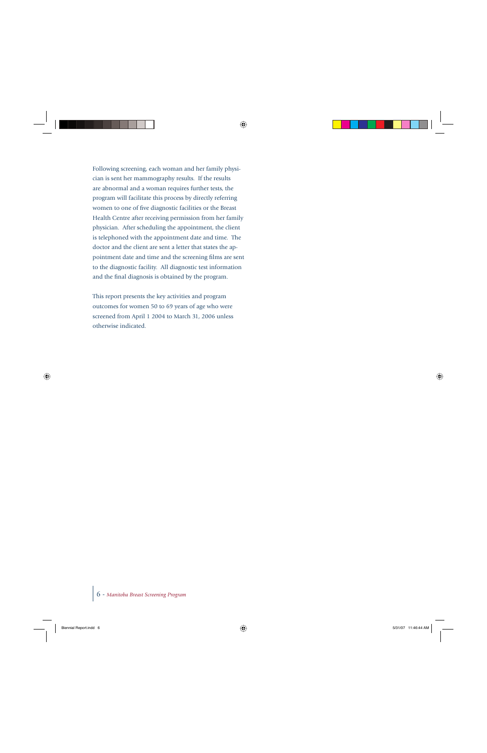Following screening, each woman and her family physician is sent her mammography results. If the results are abnormal and a woman requires further tests, the program will facilitate this process by directly referring women to one of five diagnostic facilities or the Breast Health Centre after receiving permission from her family physician. After scheduling the appointment, the client is telephoned with the appointment date and time. The doctor and the client are sent a letter that states the appointment date and time and the screening films are sent to the diagnostic facility. All diagnostic test information and the final diagnosis is obtained by the program.

This report presents the key activities and program outcomes for women 50 to 69 years of age who were screened from April 1 2004 to March 31, 2006 unless otherwise indicated.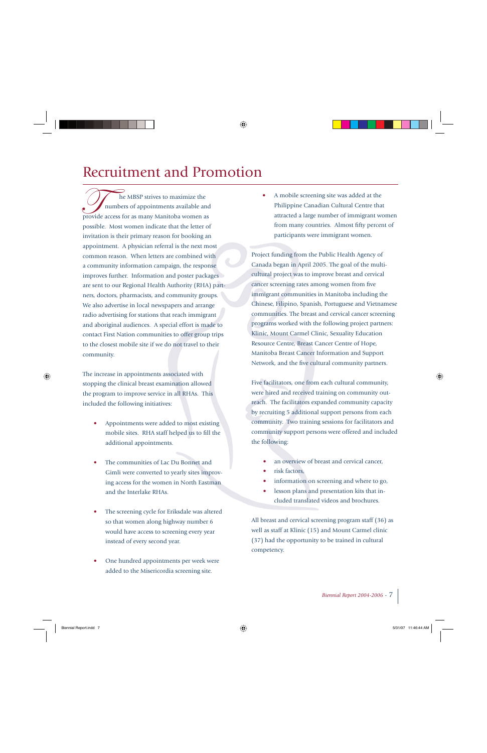# Recruitment and Promotion

 $\angle$  **he MBSP** strives to maximize the The MBSP strives to maximize the numbers of appointments available and provide access for as many Manitoba women as possible. Most women indicate that the letter of invitation is their primary reason for booking an appointment. A physician referral is the next most common reason. When letters are combined with a community information campaign, the response improves further. Information and poster packages are sent to our Regional Health Authority (RHA) partners, doctors, pharmacists, and community groups. We also advertise in local newspapers and arrange radio advertising for stations that reach immigrant and aboriginal audiences. A special effort is made to contact First Nation communities to offer group trips to the closest mobile site if we do not travel to their community.

The increase in appointments associated with stopping the clinical breast examination allowed the program to improve service in all RHAs. This included the following initiatives:

- Appointments were added to most existing mobile sites. RHA staff helped us to fill the additional appointments.
- The communities of Lac Du Bonnet and Gimli were converted to yearly sites improving access for the women in North Eastman and the Interlake RHAs.
- The screening cycle for Eriksdale was altered so that women along highway number 6 would have access to screening every year instead of every second year.
- One hundred appointments per week were added to the Misericordia screening site.

• A mobile screening site was added at the Philippine Canadian Cultural Centre that attracted a large number of immigrant women from many countries. Almost fifty percent of participants were immigrant women.

Project funding from the Public Health Agency of Canada began in April 2005. The goal of the multicultural project was to improve breast and cervical cancer screening rates among women from five immigrant communities in Manitoba including the Chinese, Filipino, Spanish, Portuguese and Vietnamese communities. The breast and cervical cancer screening programs worked with the following project partners: Klinic, Mount Carmel Clinic, Sexuality Education Resource Centre, Breast Cancer Centre of Hope, Manitoba Breast Cancer Information and Support Network, and the five cultural community partners.

Five facilitators, one from each cultural community, were hired and received training on community outreach. The facilitators expanded community capacity by recruiting 5 additional support persons from each community. Two training sessions for facilitators and community support persons were offered and included the following:

- an overview of breast and cervical cancer,
- risk factors,
- information on screening and where to go,
- lesson plans and presentation kits that included translated videos and brochures.

All breast and cervical screening program staff (36) as well as staff at Klinic (15) and Mount Carmel clinic (37) had the opportunity to be trained in cultural competency.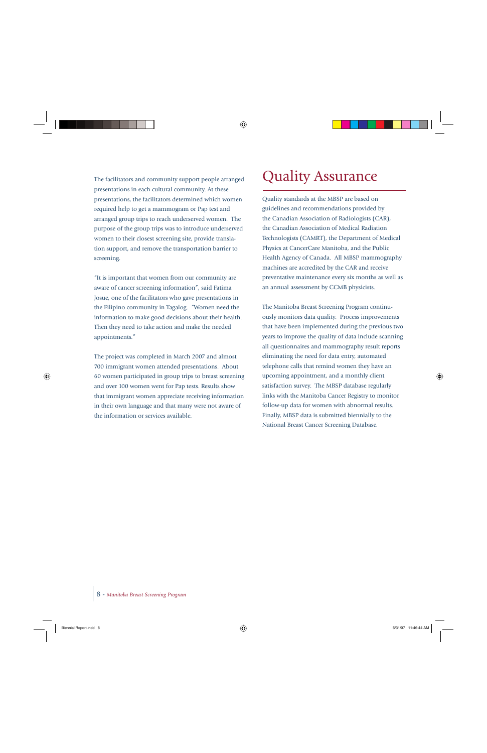The facilitators and community support people arranged presentations in each cultural community. At these presentations, the facilitators determined which women required help to get a mammogram or Pap test and arranged group trips to reach underserved women. The purpose of the group trips was to introduce underserved women to their closest screening site, provide translation support, and remove the transportation barrier to screening.

"It is important that women from our community are aware of cancer screening information", said Fatima Josue, one of the facilitators who gave presentations in the Filipino community in Tagalog. "Women need the information to make good decisions about their health. Then they need to take action and make the needed appointments."

The project was completed in March 2007 and almost 700 immigrant women attended presentations. About 60 women participated in group trips to breast screening and over 100 women went for Pap tests. Results show that immigrant women appreciate receiving information in their own language and that many were not aware of the information or services available.

## Quality Assurance

Quality standards at the MBSP are based on guidelines and recommendations provided by the Canadian Association of Radiologists (CAR), the Canadian Association of Medical Radiation Technologists (CAMRT), the Department of Medical Physics at CancerCare Manitoba, and the Public Health Agency of Canada. All MBSP mammography machines are accredited by the CAR and receive preventative maintenance every six months as well as an annual assessment by CCMB physicists.

The Manitoba Breast Screening Program continuously monitors data quality. Process improvements that have been implemented during the previous two years to improve the quality of data include scanning all questionnaires and mammography result reports eliminating the need for data entry, automated telephone calls that remind women they have an upcoming appointment, and a monthly client satisfaction survey. The MBSP database regularly links with the Manitoba Cancer Registry to monitor follow-up data for women with abnormal results. Finally, MBSP data is submitted biennially to the National Breast Cancer Screening Database.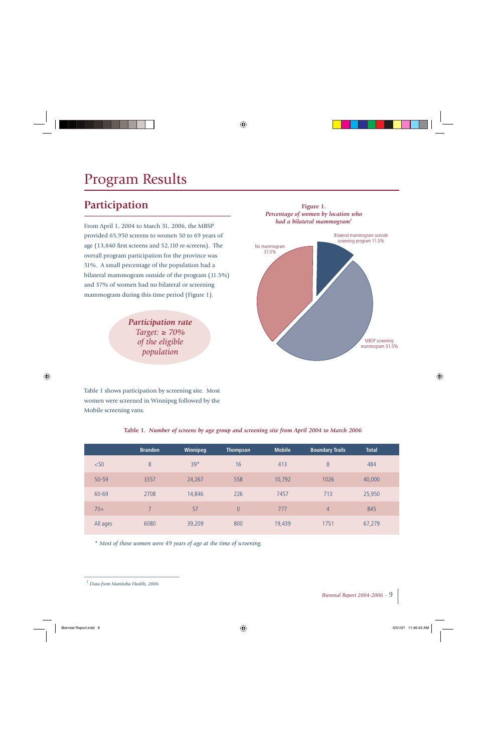# Program Results

### **Participation**

From April 1, 2004 to March 31, 2006, the MBSP provided 65,950 screens to women 50 to 69 years of age (13,840 first screens and 52,110 re-screens). The overall program participation for the province was 51%. A small percentage of the population had a bilateral mammogram outside of the program (11.5%) and 37% of women had no bilateral or screening mammogram during this time period (Figure 1).

> *Participation rate Target:* ≥ *70% of the eligible population*



Table 1 shows participation by screening site. Most women were screened in Winnipeg followed by the Mobile screening vans.

|  |  |  |  |  | Table 1. Number of screens by age group and screening site from April 2004 to March 2006 |  |  |  |  |  |
|--|--|--|--|--|------------------------------------------------------------------------------------------|--|--|--|--|--|
|--|--|--|--|--|------------------------------------------------------------------------------------------|--|--|--|--|--|

|           | <b>Brandon</b> | Winnipeg | Thompson       | <b>Mobile</b> | <b>Boundary Trails</b> | <b>Total</b> |
|-----------|----------------|----------|----------------|---------------|------------------------|--------------|
| < 50      | 8              | $39*$    | 16             | 413           | 8                      | 484          |
| $50 - 59$ | 3357           | 24,267   | 558            | 10,792        | 1026                   | 40,000       |
| 60-69     | 2708           | 14,846   | 226            | 7457          | 713                    | 25,950       |
| $70+$     |                | 57       | $\overline{0}$ | 777           | 4                      | 845          |
| All ages  | 6080           | 39,209   | 800            | 19,439        | 1751                   | 67,279       |

*\* Most of these women were 49 years of age at the time of screening.*

*<sup>1</sup> Data from Manitoba Health, 2006*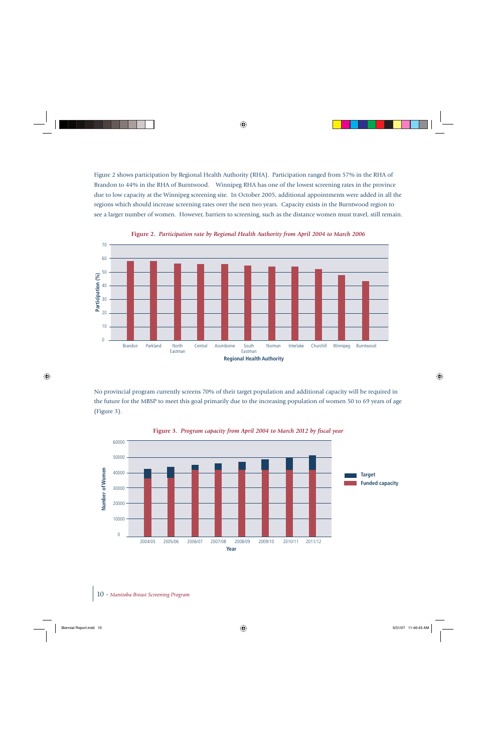Figure 2 shows participation by Regional Health Authority (RHA). Participation ranged from 57% in the RHA of Brandon to 44% in the RHA of Burntwood. Winnipeg RHA has one of the lowest screening rates in the province due to low capacity at the Winnipeg screening site. In October 2005, additional appointments were added in all the regions which should increase screening rates over the next two years. Capacity exists in the Burntwood region to see a larger number of women. However, barriers to screening, such as the distance women must travel, still remain.



**Figure 2.** *Participation rate by Regional Health Authority from April 2004 to March 2006* 

No provincial program currently screens 70% of their target population and additional capacity will be required in the future for the MBSP to meet this goal primarily due to the increasing population of women 50 to 69 years of age (Figure 3).



Figure 3. Program capacity from April 2004 to March 2012 by fiscal year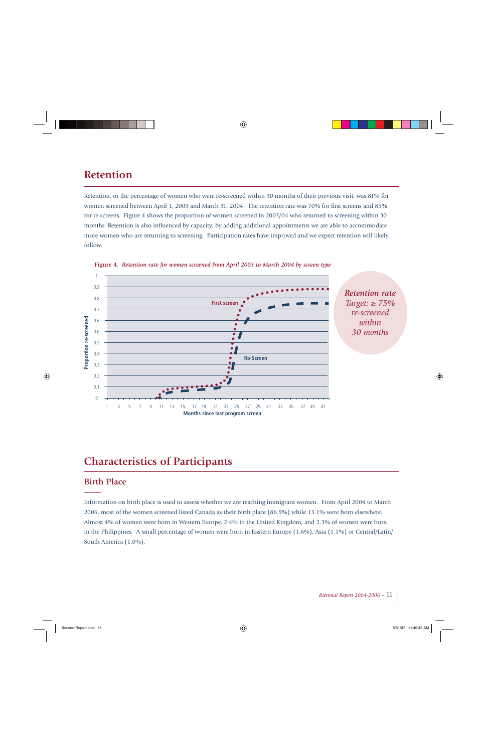### **Retention**

Retention, or the percentage of women who were re-screened within 30 months of their previous visit, was 81% for women screened between April 1, 2003 and March 31, 2004. The retention rate was 70% for first screens and 85% for re-screens. Figure 4 shows the proportion of women screened in 2003/04 who returned to screening within 30 months. Retention is also influenced by capacity; by adding additional appointments we are able to accommodate more women who are returning to screening. Participation rates have improved and we expect retention will likely follow.





### **Characteristics of Participants**

### **Birth Place**

Information on birth place is used to assess whether we are reaching immigrant women. From April 2004 to March 2006, most of the women screened listed Canada as their birth place (86.9%) while 13.1% were born elsewhere. Almost 4% of women were born in Western Europe, 2.4% in the United Kingdom, and 2.3% of women were born in the Philippines. A small percentage of women were born in Eastern Europe (1.6%), Asia (1.1%) or Central/Latin/ South America (1.0%).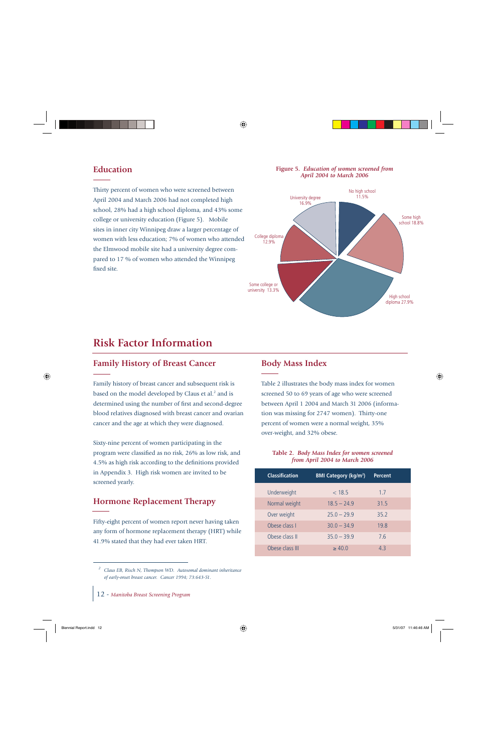### **Education**

Thirty percent of women who were screened between April 2004 and March 2006 had not completed high school, 28% had a high school diploma, and 43% some college or university education (Figure 5). Mobile sites in inner city Winnipeg draw a larger percentage of women with less education; 7% of women who attended the Elmwood mobile site had a university degree compared to 17 % of women who attended the Winnipeg fixed site.

#### **Figure 5.** *Education of women screened from April 2004 to March 2006*



### **Risk Factor Information**

### **Family History of Breast Cancer**

Family history of breast cancer and subsequent risk is based on the model developed by Claus et al.<sup>2</sup> and is determined using the number of first and second-degree blood relatives diagnosed with breast cancer and ovarian cancer and the age at which they were diagnosed.

Sixty-nine percent of women participating in the program were classified as no risk, 26% as low risk, and 4.5% as high risk according to the definitions provided in Appendix 3. High risk women are invited to be screened yearly.

### **Hormone Replacement Therapy**

Fifty-eight percent of women report never having taken any form of hormone replacement therapy (HRT) while 41.9% stated that they had ever taken HRT.

### **Body Mass Index**

Table 2 illustrates the body mass index for women screened 50 to 69 years of age who were screened between April 1 2004 and March 31 2006 (information was missing for 2747 women). Thirty-one percent of women were a normal weight, 35% over-weight, and 32% obese.

#### *from April 2004 to March 2006* **Table 2.** *Body Mass Index for women screened*

| <b>Classification</b> | <b>BMI Category (kg/m<sup>2</sup>)</b> | <b>Percent</b> |
|-----------------------|----------------------------------------|----------------|
| Underweight           | < 18.5                                 | 1.7            |
| Normal weight         | $18.5 - 24.9$                          | 31.5           |
| Over weight           | $75.0 - 79.9$                          | 35.2           |
| Obese class I         | $30.0 - 34.9$                          | 19.8           |
| Obese class II        | $35.0 - 39.9$                          | 7.6            |
| Obese class III       | $\geq 40.0$                            | 43             |

*<sup>2</sup> Claus EB, Risch N, Thompson WD. Autosomal dominant inheritance of early-onset breast cancer. Cancer 1994; 73:643-51.*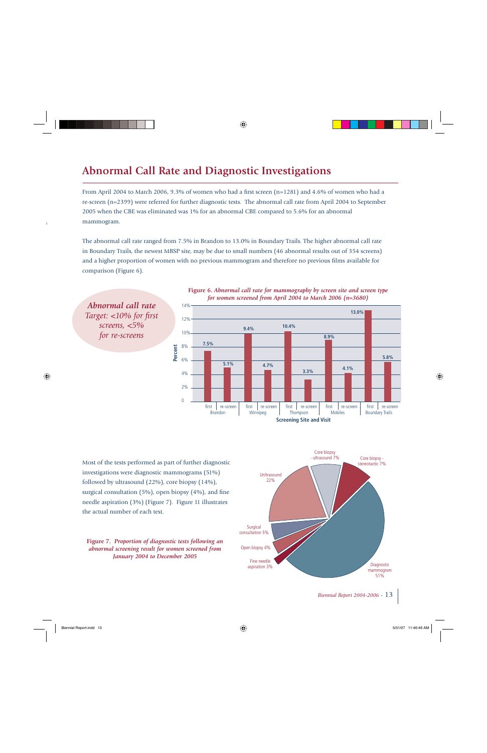### **Abnormal Call Rate and Diagnostic Investigations**

From April 2004 to March 2006, 9.3% of women who had a first screen  $(n=1281)$  and 4.6% of women who had a re-screen (n=2399) were referred for further diagnostic tests. The abnormal call rate from April 2004 to September 2005 when the CBE was eliminated was 1% for an abnormal CBE compared to 5.6% for an abnormal mammogram.

The abnormal call rate ranged from 7.5% in Brandon to 13.0% in Boundary Trails. The higher abnormal call rate in Boundary Trails, the newest MBSP site, may be due to small numbers (46 abnormal results out of 354 screens) and a higher proportion of women with no previous mammogram and therefore no previous films available for comparison (Figure 6).





Most of the tests performed as part of further diagnostic investigations were diagnostic mammograms (51%) followed by ultrasound (22%), core biopsy (14%), surgical consultation  $(5%)$ , open biopsy  $(4%)$ , and fine needle aspiration (3%) (Figure 7). Figure 11 illustrates the actual number of each test.





**Screening Site and Visit**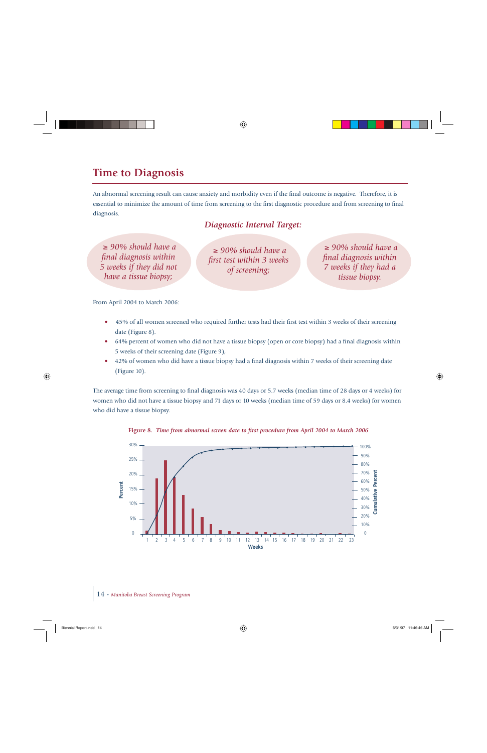### **Time to Diagnosis**

An abnormal screening result can cause anxiety and morbidity even if the final outcome is negative. Therefore, it is essential to minimize the amount of time from screening to the first diagnostic procedure and from screening to final diagnosis.

### *Diagnostic Interval Target:*

<sup>≥</sup> *90% should have a fi nal diagnosis within 5 weeks if they did not have a tissue biopsy;*

<sup>≥</sup> *90% should have a fi rst test within 3 weeks of screening;*

<sup>≥</sup> *90% should have a fi nal diagnosis within 7 weeks if they had a tissue biopsy.*

From April 2004 to March 2006:

- 45% of all women screened who required further tests had their first test within 3 weeks of their screening date (Figure 8).
- 64% percent of women who did not have a tissue biopsy (open or core biopsy) had a final diagnosis within 5 weeks of their screening date (Figure 9),
- 42% of women who did have a tissue biopsy had a final diagnosis within 7 weeks of their screening date (Figure 10).

The average time from screening to final diagnosis was 40 days or 5.7 weeks (median time of 28 days or 4 weeks) for women who did not have a tissue biopsy and 71 days or 10 weeks (median time of 59 days or 8.4 weeks) for women who did have a tissue biopsy.



Figure 8. *Time from abnormal screen date to first procedure from April 2004 to March 2006*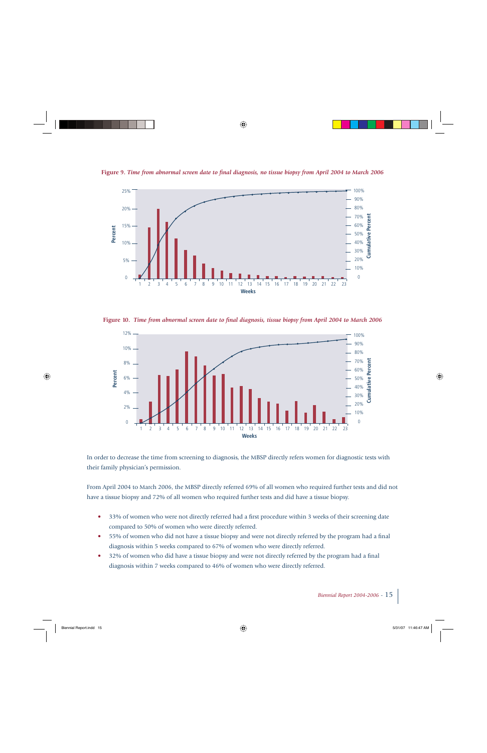

Figure 9. *Time from abnormal screen date to final diagnosis, no tissue biopsy from April 2004 to March 2006* 

Figure 10. *Time from abnormal screen date to final diagnosis, tissue biopsy from April 2004 to March 2006* 



In order to decrease the time from screening to diagnosis, the MBSP directly refers women for diagnostic tests with their family physician's permission.

From April 2004 to March 2006, the MBSP directly referred 69% of all women who required further tests and did not have a tissue biopsy and 72% of all women who required further tests and did have a tissue biopsy.

- 33% of women who were not directly referred had a first procedure within 3 weeks of their screening date compared to 50% of women who were directly referred.
- 55% of women who did not have a tissue biopsy and were not directly referred by the program had a final diagnosis within 5 weeks compared to 67% of women who were directly referred.
- 32% of women who did have a tissue biopsy and were not directly referred by the program had a final diagnosis within 7 weeks compared to 46% of women who were directly referred.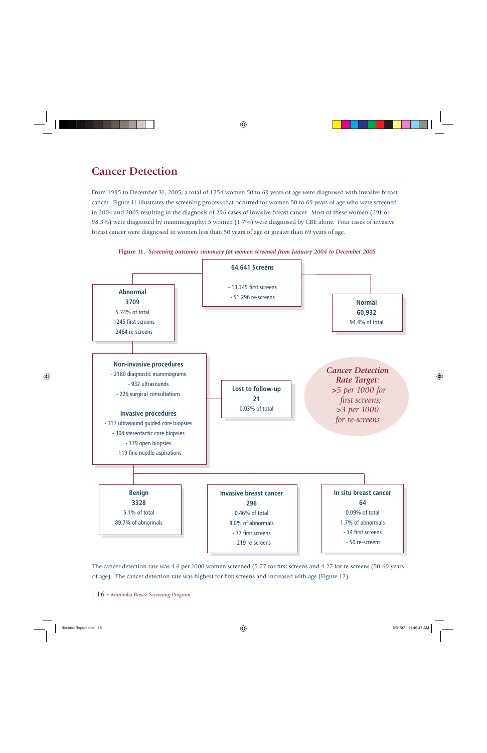### **Cancer Detection**

From 1995 to December 31, 2005, a total of 1254 women 50 to 69 years of age were diagnosed with invasive breast cancer. Figure 11 illustrates the screening process that occurred for women 50 to 69 years of age who were screened in 2004 and 2005 resulting in the diagnosis of 296 cases of invasive breast cancer. Most of these women (291 or 98.3%) were diagnosed by mammography; 5 women (1.7%) were diagnosed by CBE alone. Four cases of invasive breast cancer were diagnosed in women less than 50 years of age or greater than 69 years of age.



**Figure 11.** *Screening outcomes summary for women screened from January 2004 to December 2005*

The cancer detection rate was 4.6 per 1000 women screened (5.77 for first screens and 4.27 for re-screens (50-69 years of age). The cancer detection rate was highest for first screens and increased with age (Figure 12).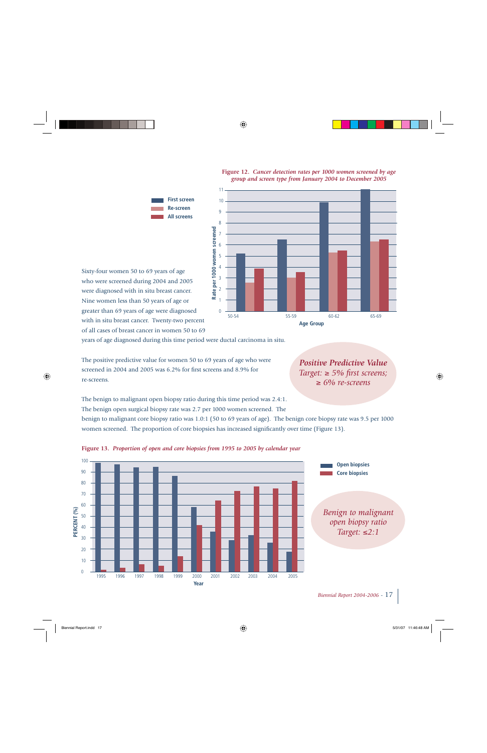

#### **Figure 12.** *Cancer detection rates per 1000 women screened by age group and screen type from January 2004 to December 2005*

Sixty-four women 50 to 69 years of age who were screened during 2004 and 2005 were diagnosed with in situ breast cancer. Nine women less than 50 years of age or greater than 69 years of age were diagnosed with in situ breast cancer. Twenty-two percent of all cases of breast cancer in women 50 to 69

years of age diagnosed during this time period were ductal carcinoma in situ.

The positive predictive value for women 50 to 69 years of age who were screened in 2004 and 2005 was 6.2% for first screens and 8.9% for re-screens.

*Positive Predictive ValueTarget:* ≥ 5% first screens; <sup>≥</sup> *6% re-screens*

The benign to malignant open biopsy ratio during this time period was 2.4:1. The benign open surgical biopsy rate was 2.7 per 1000 women screened. The

benign to malignant core biopsy ratio was 1.0:1 (50 to 69 years of age). The benign core biopsy rate was 9.5 per 1000 women screened. The proportion of core biopsies has increased significantly over time (Figure 13).



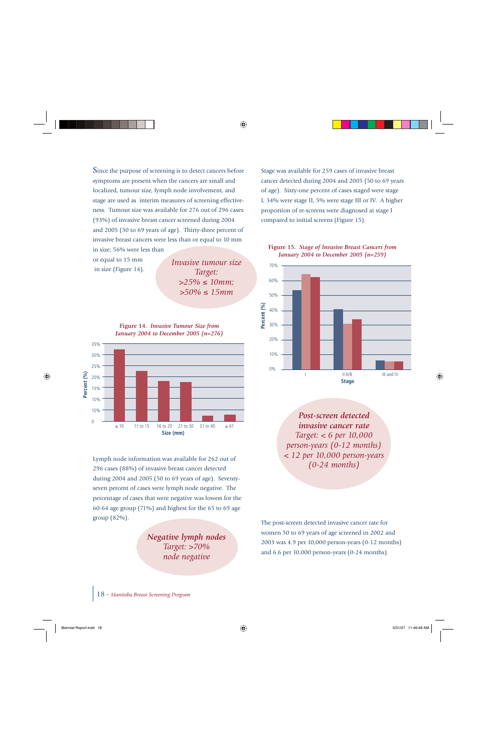Since the purpose of screening is to detect cancers before symptoms are present when the cancers are small and localized, tumour size, lymph node involvement, and stage are used as interim measures of screening effectiveness. Tumour size was available for 276 out of 296 cases (93%) of invasive breast cancer screened during 2004 and 2005 (50 to 69 years of age). Thirty-three percent of invasive breast cancers were less than or equal to 10 mm in size; 56% were less than

or equal to 15 mm in size (Figure 14).

*Invasive tumour sizeTarget: >25%* ≤ *10mm; >50%* ≤ *15mm*





Lymph node information was available for 262 out of 296 cases (88%) of invasive breast cancer detected during 2004 and 2005 (50 to 69 years of age). Seventyseven percent of cases were lymph node negative. The percentage of cases that were negative was lowest for the 60-64 age group (71%) and highest for the 65 to 69 age group (82%).

> *Negative lymph nodes Target: >70% node negative*

Stage was available for 259 cases of invasive breast cancer detected during 2004 and 2005 (50 to 69 years of age). Sixty-one percent of cases staged were stage I, 34% were stage II, 5% were stage III or IV. A higher proportion of re-screens were diagnosed at stage I compared to initial screens (Figure 15).

#### **Figure 15.** *Stage of Invasive Breast Cancers from January 2004 to December 2005 (n=259)*



*Post-screen detected invasive cancer rateTarget: < 6 per 10,000 person-years (0-12 months) < 12 per 10,000 person-years (0-24 months)*

The post-screen detected invasive cancer rate for women 50 to 69 years of age screened in 2002 and 2003 was 4.9 per 10,000 person-years (0-12 months) and 6.6 per 10,000 person-years (0-24 months).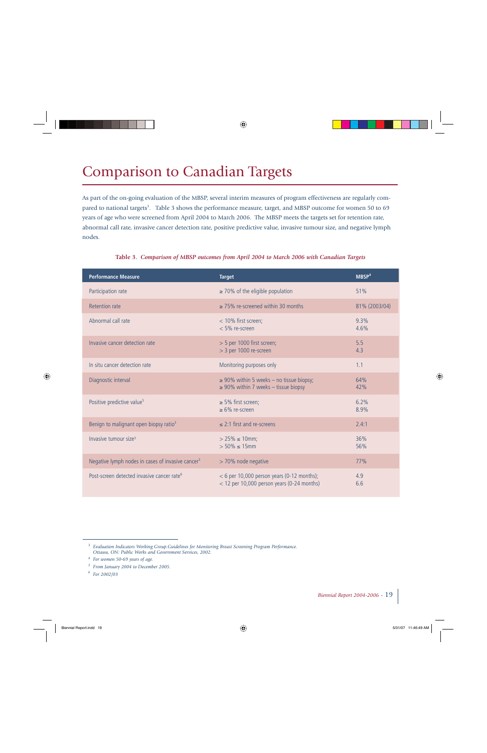# Comparison to Canadian Targets

As part of the on-going evaluation of the MBSP, several interim measures of program effectiveness are regularly compared to national targets<sup>3</sup>. Table 3 shows the performance measure, target, and MBSP outcome for women 50 to 69 years of age who were screened from April 2004 to March 2006. The MBSP meets the targets set for retention rate, abnormal call rate, invasive cancer detection rate, positive predictive value, invasive tumour size, and negative lymph nodes.

| <b>Performance Measure</b>                                    | <b>Target</b>                                                                                | MBSP <sup>4</sup> |
|---------------------------------------------------------------|----------------------------------------------------------------------------------------------|-------------------|
| Participation rate                                            | $\geq$ 70% of the eligible population                                                        | 51%               |
| <b>Retention rate</b>                                         | $\geq$ 75% re-screened within 30 months                                                      | 81% (2003/04)     |
| Abnormal call rate                                            | < 10% first screen;<br>< 5% re-screen                                                        | 9.3%<br>4.6%      |
| Invasive cancer detection rate                                | $>$ 5 per 1000 first screen;<br>> 3 per 1000 re-screen                                       | 5.5<br>4.3        |
| In situ cancer detection rate                                 | Monitoring purposes only                                                                     | 1.1               |
| Diagnostic interval                                           | $\geq$ 90% within 5 weeks – no tissue biopsy;<br>$\geq$ 90% within 7 weeks - tissue biopsy   | 64%<br>42%        |
| Positive predictive value <sup>5</sup>                        | $\geq$ 5% first screen;<br>$\geq 6\%$ re-screen                                              | 6.2%<br>8.9%      |
| Benign to malignant open biopsy ratio <sup>3</sup>            | $\leq$ 2:1 first and re-screens                                                              | 2.4:1             |
| Invasive tumour size <sup>3</sup>                             | $> 25\% \le 10$ mm;<br>$> 50\% \le 15$ mm                                                    | 36%<br>56%        |
| Negative lymph nodes in cases of invasive cancer <sup>3</sup> | > 70% node negative                                                                          | 77%               |
| Post-screen detected invasive cancer rate <sup>6</sup>        | $<$ 6 per 10,000 person years (0-12 months);<br>$<$ 12 per 10,000 person years (0-24 months) | 4.9<br>6.6        |

#### Table 3. Comparison of MBSP outcomes from April 2004 to March 2006 with Canadian Targets

*<sup>3</sup> Evaluation Indicators Working Group.Guidelines for Monitoring Breast Screening Program Performance. Ottawa, ON: Public Works and Government Services, 2002.*

*<sup>4</sup> For women 50-69 years of age.*

*<sup>5</sup> From January 2004 to December 2005.*

*<sup>6</sup> For 2002/03*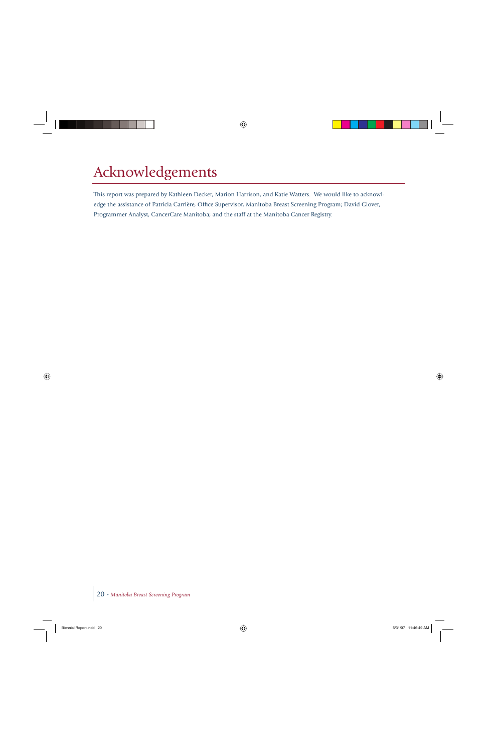# Acknowledgements

This report was prepared by Kathleen Decker, Marion Harrison, and Katie Watters. We would like to acknowledge the assistance of Patricia Carrière, Office Supervisor, Manitoba Breast Screening Program; David Glover, Programmer Analyst, CancerCare Manitoba; and the staff at the Manitoba Cancer Registry.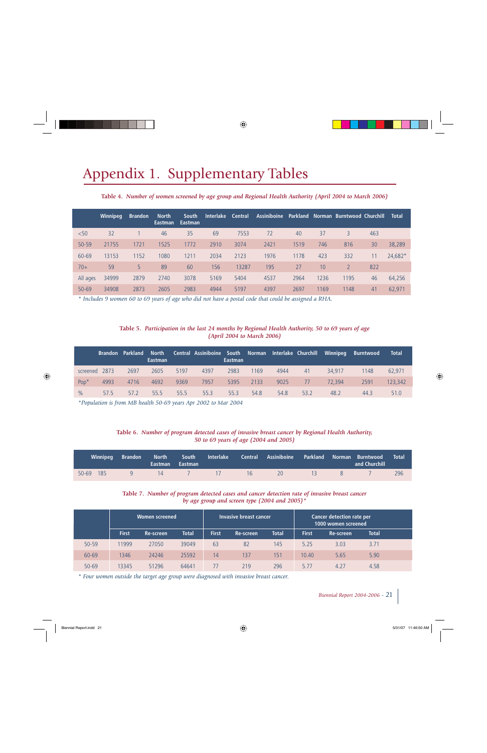# Appendix 1. Supplementary Tables

(April 2004 to Mumber of women screened by age group and Regional Health Authority (April 2004 to March 2006)

|           | <b>Winnipeg</b> | <b>Brandon</b> | <b>North</b><br><b>Eastman</b> | South<br>Eastman | <b>Interlake</b> | <b>Central</b> | <b>Assiniboine</b> |      |      | <b>Parkland Norman Burntwood Churchill</b> |     | <b>Total</b> |
|-----------|-----------------|----------------|--------------------------------|------------------|------------------|----------------|--------------------|------|------|--------------------------------------------|-----|--------------|
| $50$      | 32              |                | 46                             | 35               | 69               | 7553           | 72                 | 40   | 37   | 3                                          | 463 |              |
| 50-59     | 21755           | 1721           | 1525                           | 1772             | 2910             | 3074           | 2421               | 1519 | 746  | 816                                        | 30  | 38,289       |
| 60-69     | 13153           | 1152           | 1080                           | 1211             | 2034             | 2123           | 1976               | 1178 | 423  | 332                                        |     | 24,682*      |
| $70+$     | 59              | 5              | 89                             | 60               | 156              | 13287          | 195                | 27   | 10   |                                            | 822 |              |
| All ages  | 34999           | 2879           | 2740                           | 3078             | 5169             | 5404           | 4537               | 2964 | 1236 | 1195                                       | 46  | 64,256       |
| $50 - 69$ | 34908           | 2873           | 2605                           | 2983             | 4944             | 5197           | 4397               | 2697 | 1169 | 1148                                       | 41  | 62,971       |

*\* Includes 9 women 60 to 69 years of age who did not have a postal code that could be assigned a RHA.*

#### *(April 2004 to March 2006)* Table 5. Participation in the last 24 months by Regional Health Authority, 50 to 69 years of age

|                  |      | <b>Brandon</b> Parkland | <b>North</b><br><b>Eastman</b> |      | Central Assiniboine South Norman Interlake Churchill | Eastman |      |      |      | Winnipeg | <b>Burntwood</b> | <b>Total</b> |
|------------------|------|-------------------------|--------------------------------|------|------------------------------------------------------|---------|------|------|------|----------|------------------|--------------|
| screened         | 2873 | 2697                    | 2605                           | 5197 | 4397                                                 | 2983    | 1169 | 4944 | 41   | 34,917   | 1148             | 62.971       |
| Pop <sup>*</sup> | 4993 | 4716                    | 4692                           | 9369 | 7957                                                 | 5395    | 2133 | 9025 | 77   | 72.394   | 2591             | 123,342      |
| $\frac{0}{0}$    | 57.5 | 57.2                    | 55.5                           | 55.5 | 55.3                                                 | 55.3    | 54.8 | 54.8 | 53.2 | 48.2     | 44.3             | 51.0         |

*\*Population is from MB health 50-69 years Apr 2002 to Mar 2004*

### *5 0 to 69 years of age (2004 and 2 0 05)* Table 6. Number of program detected cases of invasive breast cancer by Regional Health Authority,

| Winnipeg  | Brandon | Eastman Eastman |                  | North South Interlake Central Assiniboine Parkland Norman Burntwood |                    | and Churchill | <b>Total</b> |
|-----------|---------|-----------------|------------------|---------------------------------------------------------------------|--------------------|---------------|--------------|
| 50-69 185 |         | 9 14 7 17       | $\sim$ 16 $\sim$ | - 20 -                                                              | $\sim$ 13 $\sim$ 8 |               | 296          |

#### *by age group and screen type (2004 and 2 0 05)\** Table 7. Number of program detected cases and cancer detection rate of invasive breast cancer

|           | Women screened |           |              |              | Invasive breast cancer |              | <b>Cancer detection rate per</b><br>1000 women screened |                  |              |  |
|-----------|----------------|-----------|--------------|--------------|------------------------|--------------|---------------------------------------------------------|------------------|--------------|--|
|           | <b>First</b>   | Re-screen | <b>Total</b> | <b>First</b> | <b>Re-screen</b>       | <b>Total</b> | <b>First</b>                                            | <b>Re-screen</b> | <b>Total</b> |  |
| $50 - 59$ | 11999          | 27050     | 39049        | 63           | 82                     | 145          | 5.25                                                    | 3.03             | 3.71         |  |
| 60-69     | 1346           | 24246     | 25592        | 14           | 137                    | 151          | 10.40                                                   | 5.65             | 5.90         |  |
| $50 - 69$ | 13345          | 51296     | 64641        | 77           | 219                    | 296          | 5.77                                                    | 4.27             | 4.58         |  |

*\* Four women outside the target age group were diagnosed with invasive breast cancer.*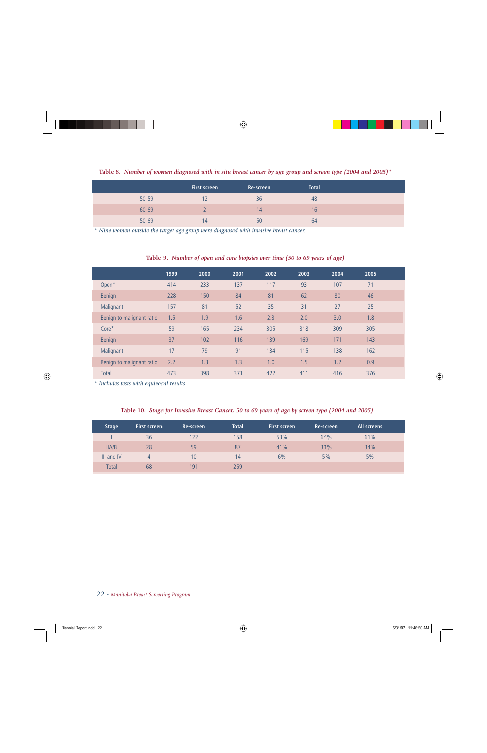Table 8. Number of women diagnosed with in situ breast cancer by age group and screen type (2004 and 2005) \*

|           | <b>First screen</b> | Re-screen | <b>Total</b> |  |
|-----------|---------------------|-----------|--------------|--|
| $50 - 59$ |                     | 36        | 48           |  |
| 60-69     |                     | 14        | 16           |  |
| $50 - 69$ | 14                  | 50        | 64           |  |

*\* Nine women outside the target age group were diagnosed with invasive breast cancer.*

#### **Table 9.** *Number of open and core biopsies over time (50 to <sup>69</sup> years of age)*

|                           | 1999 | 2000 | 2001 | 2002 | 2003 | 2004 | 2005 |  |
|---------------------------|------|------|------|------|------|------|------|--|
| Open*                     | 414  | 233  | 137  | 117  | 93   | 107  | 71   |  |
| Benign                    | 228  | 150  | 84   | 81   | 62   | 80   | 46   |  |
| Malignant                 | 157  | 81   | 52   | 35   | 31   | 27   | 25   |  |
| Benign to malignant ratio | 1.5  | 1.9  | 1.6  | 2.3  | 2.0  | 3.0  | 1.8  |  |
| $Core*$                   | 59   | 165  | 234  | 305  | 318  | 309  | 305  |  |
| <b>Benign</b>             | 37   | 102  | 116  | 139  | 169  | 171  | 143  |  |
| Malignant                 | 17   | 79   | 91   | 134  | 115  | 138  | 162  |  |
| Benign to malignant ratio | 2.2  | 1.3  | 1.3  | 1.0  | 1.5  | 1.2  | 0.9  |  |
| Total                     | 473  | 398  | 371  | 422  | 411  | 416  | 376  |  |

*\* Includes tests with equivocal results*

|  | Table 10. Stage for Invasive Breast Cancer, 50 to 69 years of age by screen type (2004 and 2005) |  |  |  |  |
|--|--------------------------------------------------------------------------------------------------|--|--|--|--|
|  |                                                                                                  |  |  |  |  |

| <b>Stage</b> | <b>First screen</b> | Re-screen | <b>Total</b> | <b>First screen</b> | Re-screen | All screens |  |
|--------------|---------------------|-----------|--------------|---------------------|-----------|-------------|--|
|              | 36                  | 122       | 158          | 53%                 | 64%       | 61%         |  |
| IIA/B        | 28                  | 59        | 87           | 41%                 | 31%       | 34%         |  |
| III and IV   | 4                   | 10        | 14           | 6%                  | 5%        | 5%          |  |
| <b>Total</b> | 68                  | 191       | 259          |                     |           |             |  |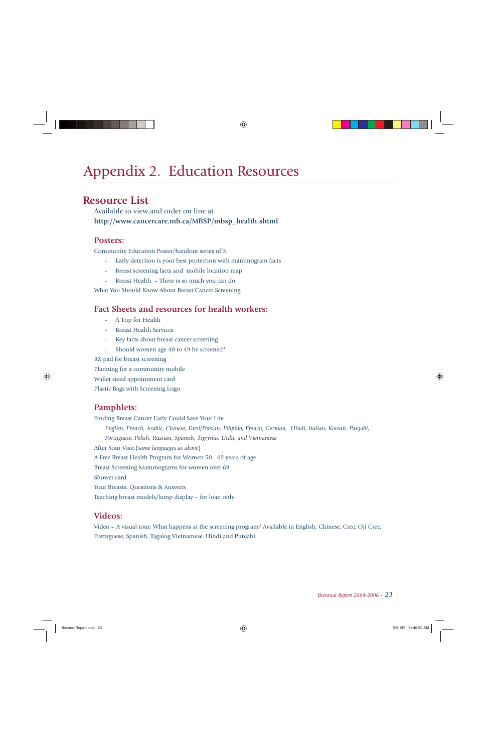# Appendix 2. Education Resources

### **Resource List**

Available to view and order on line at **http://www.cancercare.mb.ca/MBSP/mbsp\_health.shtml** 

### **Posters:**

Community Education Poster/handout series of 3:

- Early detection is your best protection with mammogram facts
- Breast screening facts and mobile location map
- Breast Health There is so much you can do.

What You Should Know About Breast Cancer Screening

### **Fact Sheets and resources for health workers:**

- A Trip for Health
- Breast Health Services
- Key facts about breast cancer screening
- Should women age 40 to 49 be screened?

RX pad for breast screening

Planning for a community mobile

Wallet sized appointment card

Plastic Bags with Screening Logo

### **Pamphlets:**

Finding Breast Cancer Early Could Save Your Life *English, French, Arabic, Chinese, Farsi/Persian, Filipino, French, German, Hindi, Italian, Korean, Panjabi, Portuguese, Polish, Russian, Spanish, Tigrynia, Urdu, and Vietnamese* After Your Visit (*same languages as above*) A Free Breast Health Program for Women 50 - 69 years of age Breast Screening Mammograms for women over 69 Shower card Your Breasts: Questions & Answers Teaching breast models/lump display – for loan only

### **Videos:**

Video – A visual tour: What happens at the screening program? Available in English, Chinese, Cree, Oji Cree, Portuguese, Spanish, Tagalog Vietnamese, Hindi and Punjabi.